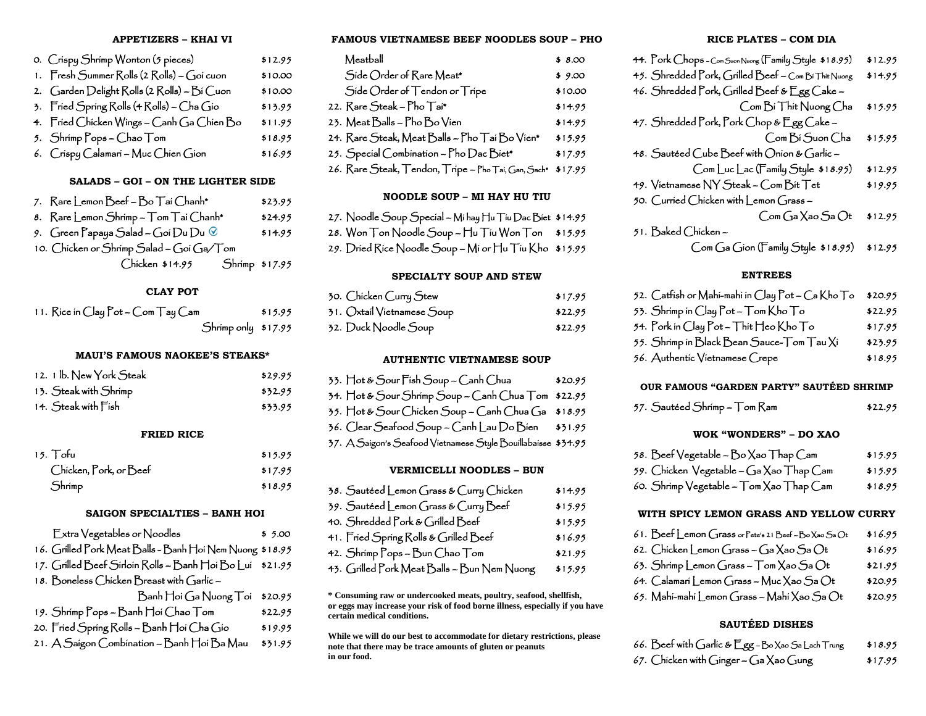#### **APPETIZERS – KHAI VI**

| 0. Crispy Shrimp Wonton (5 pieces)          | \$12.95 |
|---------------------------------------------|---------|
| 1. Fresh Summer Rolls (2 Rolls) ~ Goi cuon  | \$10.00 |
| 2. Garden Delight Rolls (2 Rolls) - Bi Cuon | \$10.00 |
| 3. Fried Spring Rolls (4 Rolls) – Cha Gio   | \$13.95 |
| 4. Fried Chicken Wings ~ Canh Ga Chien Bo   | \$11.95 |
| 5. Shrimp Pops – Chao Tom                   | \$18.95 |
| 6. Crispy Calamari - Muc Chien Gion         | \$16.95 |

# **SALADS – GOI – ON THE LIGHTER SIDE**

| 7. Rare Lemon Beef - Bo Taí Chanh*                                   | \$23.95 |
|----------------------------------------------------------------------|---------|
| 8. Rare Lemon Shrimp - Tom Tai Chanh*                                | \$24.95 |
| 9. $\,$ Green Papaya $\,$ Salad – Goi $\,$ Du $\,$ Du $\,$ $\otimes$ | \$14.95 |
| 10. Chicken or Shrimp Salad – Goi Ga/Tom                             |         |
| Chicken \$14.95 Shrimp \$17.95                                       |         |

# **CLAY POT**

| 11. Rice in $C$ lay $Pot$ – $Com$ $T$ ay $Cam$ | \$15.95 |  |
|------------------------------------------------|---------|--|
| Shrimp only \$17.95                            |         |  |

#### **MAUI'S FAMOUS NAOKEE'S STEAKS\***

| 12. 1 b. New York Steak                | \$29.95 |
|----------------------------------------|---------|
| 13. Steak with Shrimp                  | \$32.95 |
| 14. Steak with $\overline{\Gamma}$ ish | \$33.95 |

# **FRIED RICE**

| 15. Tofu               | \$15.95 |
|------------------------|---------|
| Chicken, Pork, or Beef | \$17.95 |
| Shrimp                 | \$18.95 |

# **SAIGON SPECIALTIES – BANH HOI**

| Extra Vegetables or Noodles                              | \$5.00  |
|----------------------------------------------------------|---------|
| 16. Grilled Pork Meat Balls - Banh Hoi Nem Nuong \$18.95 |         |
| 17. Grilled Beef Sirloin Rolls - Banh Hoi Bo Lui \$21.95 |         |
| 18. Boneless Chicken Breast with Garlic –                |         |
| Banh Hoi Ga Nuong Toi                                    | \$20.95 |
| 19. Shrimp Pops - Banh Hoi Chao Tom                      | \$22.95 |
| 20. Fried Spring Rolls – Banh Hoi Cha Gio                | \$19.95 |
| 21. A Saígon Combination – Banh Hoi Ba Mau               | \$31.95 |
|                                                          |         |

**FAMOUS VIETNAMESE BEEF NOODLES SOUP – PHO**

| Meatball                                            | \$8.00  |
|-----------------------------------------------------|---------|
| Side Order of Rare Meat*                            | \$9.00  |
| Side Order of Tendon or Tripe                       | \$10.00 |
| 22. Rare Steak - Pho Tai*                           | \$14.95 |
| 23. Meat Balls - Pho Bo Vien                        | \$14.95 |
| 24. Rare Steak, Meat Balls - Pho Taí Bo Vien*       | \$15.95 |
| 25. Special Combination - Pho Dac Biet*             | \$17.95 |
| 26. Rare Steak, Tendon, Tripe - Pho Tai, Gan, Sach* | \$17.95 |

# **NOODLE SOUP – MI HAY HU TIU**

| 27. Noodle Soup Special – Mi hay Hu Tiu Dac Biet \$14.95                  |  |
|---------------------------------------------------------------------------|--|
| 28. Won $\top$ on Noodle Soup - $\top$ lu $\top$ íu Won $\top$ on \$15.95 |  |
| 29. Dried Rice Noodle Soup – Mi or Hu Tiu Kho \$15.95                     |  |

 $\sim$  $\sim 10$ 

and the state of the state

#### **SPECIALTY SOUP AND STEW**

| 30. Chicken Curry Stew     | \$17.95 |
|----------------------------|---------|
| 31. Oxtail Vietnamese Soup | \$22.95 |
| 32. Duck Noodle Soup       | \$22.95 |

#### **AUTHENTIC VIETNAMESE SOUP**

| 33. Hot & Sour Fish Soup ~ Canh Chua                          | \$20.95 |
|---------------------------------------------------------------|---------|
| 34. Hot & Sour Shrimp Soup – Canh Chua Tom \$22.95            |         |
| 35. Hot & Sour Chicken Soup - Canh Chua Ga \$18.95            |         |
| 36. Clear Seafood Soup - Canh Lau Do Bien \$31.95             |         |
| 37. A Saigon's Seafood Vietnamese Style Bouillabaisse \$34.95 |         |
|                                                               |         |

#### **VERMICELLI NOODLES – BUN**

| 38. Sautéed Lemon Grass & Curry Chicken     | \$14.95 |
|---------------------------------------------|---------|
| 39. Sautéed Lemon Grass & Curry Beef        | \$15.95 |
| 40. Shredded Pork & Grilled Beef            | \$15.95 |
| 41. Fried Spring Rolls & Grilled Beef       | \$16.95 |
| 42. Shrimp Pops – Bun Chao Tom              | \$21.95 |
| 43. Grilled Pork Meat Balls – Bun Nem Nuong | \$15.95 |

**\* Consuming raw or undercooked meats, poultry, seafood, shellfish, or eggs may increase your risk of food borne illness, especially if you have certain medical conditions.**

**While we will do our best to accommodate for dietary restrictions, please note that there may be trace amounts of gluten or peanuts in our food.**

#### **RICE PLATES – COM DIA**

| 44. Pork Chops - Com Suon Nuong (Family Style \$18.95) | \$12.95                            |
|--------------------------------------------------------|------------------------------------|
| 45. Shredded Pork, Grilled Beef - Com Bi Thit Nuong    | \$14.95                            |
| 46. Shredded Pork, Grilled Beef & Egg Cake -           |                                    |
| Com Bí Thit Nuong Cha                                  | \$15.95                            |
| 47. Shredded Pork, Pork Chop & Egg Cake -              |                                    |
|                                                        | Com Bí Suon Cha<br>\$15.95         |
| 48. Sautéed Cube Beef with Onion & Garlic -            |                                    |
| Com Luc Lac (Family Style \$18.95)                     | \$12.95                            |
| 49. Vietnamese NY Steak - Com Bit Tet                  | \$19.95                            |
| 50. Curried Chicken with Lemon Grass-                  |                                    |
|                                                        | $Com$ Ga $X$ ao Sa $Ot$<br>\$12.95 |
| 51. Baked Chicken –                                    |                                    |
| Com Ga Gion (Family Style \$18.95)                     | \$12.95                            |

#### **ENTREES**

| 52. Catfish or Mahi-mahi in Clay Pot — Ca Kho To | \$20.95 |
|--------------------------------------------------|---------|
| 53. Shrimp in Clay Pot — Tom Kho To              | \$22.95 |
| 54. Pork in Clay Pot – Thit Heo Kho To           | \$17.95 |
| 55. Shrimp in Black Bean Sauce-Tom Tau Xi        | \$23.95 |
| 56. Authentic Vietnamese Crepe                   | \$18.95 |

#### **OUR FAMOUS "GARDEN PARTY" SAUTÉED SHRIMP**

| 57. Sautéed Shrímp – Tom Ram |  | \$22.95 |
|------------------------------|--|---------|
|------------------------------|--|---------|

#### **WOK "WONDERS" – DO XAO**

| 58. Beef Vegetable – Bo Xao Thap Cam    | \$15.95 |
|-----------------------------------------|---------|
| 59. Chicken Vegetable – Ga Xao Thap Cam | \$15.95 |
|                                         |         |

# 60. Shrimp  $\text{Vegetable} - \text{Tom} \text{Xao } \text{Thap} \text{Cam}$  \$18.95

# **WITH SPICY LEMON GRASS AND YELLOW CURRY**

| 61. Beef Lemon Grass or Pete's 21 Beef-Bo Xao Sa Ot | \$16.95 |
|-----------------------------------------------------|---------|
| 62. Chicken Lemon Grass - Ga Xao Sa Ot              | \$16.95 |
| 63. Shrimp Lemon Grass $-$ Tom $X$ ao Sa $\Omega t$ | \$21.95 |

- 64.  $Calaman Lemon Grass Muc Xao Sa Ot$  \$20.95
- 65. Mahi-mahi Lemon Grass Mahi Xao Sa $Q_t$  \$20.95

# **SAUTÉED DISHES**

|  |  | 66. Beef with Garlic & Egg – Bo Xao Sa Lach Trung | \$18.95 |
|--|--|---------------------------------------------------|---------|
|  |  |                                                   |         |

67. Chicken with Ginger – Ga Xao Gung  $$17.95$